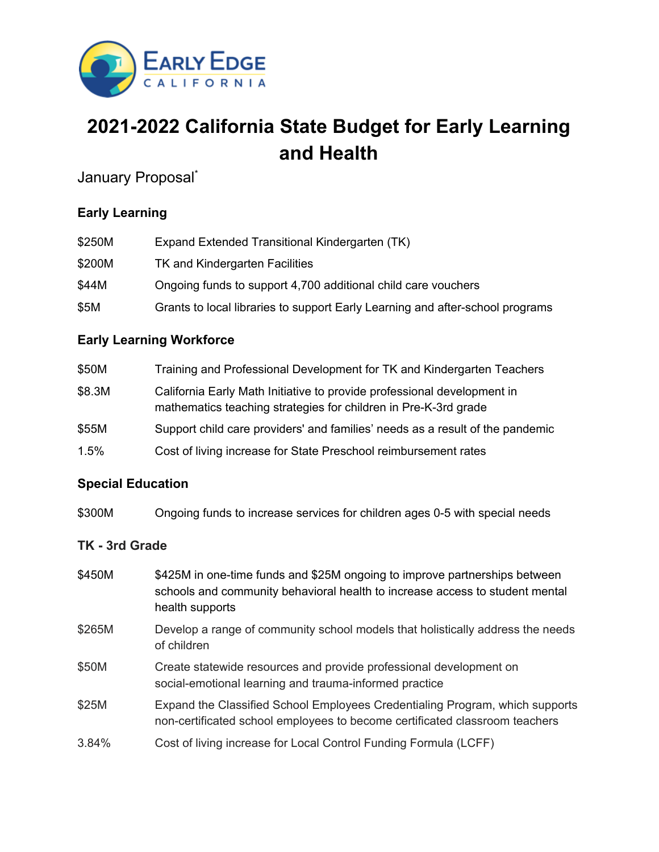

# **2021-2022 California State Budget for Early Learning and Health**

January Proposal<sup>\*</sup>

## **Early Learning**

| \$250M | Expand Extended Transitional Kindergarten (TK)                                |
|--------|-------------------------------------------------------------------------------|
| \$200M | TK and Kindergarten Facilities                                                |
| \$44M  | Ongoing funds to support 4,700 additional child care vouchers                 |
| \$5M   | Grants to local libraries to support Early Learning and after-school programs |

## **Early Learning Workforce**

| \$50M  | Training and Professional Development for TK and Kindergarten Teachers                                                                     |
|--------|--------------------------------------------------------------------------------------------------------------------------------------------|
| \$8.3M | California Early Math Initiative to provide professional development in<br>mathematics teaching strategies for children in Pre-K-3rd grade |
| \$55M  | Support child care providers' and families' needs as a result of the pandemic                                                              |
| 1.5%   | Cost of living increase for State Preschool reimbursement rates                                                                            |

## **Special Education**

\$300M Ongoing funds to increase services for children ages 0-5 with special needs

## **TK - 3rd Grade**

- \$450M \$425M in one-time funds and \$25M ongoing to improve partnerships between schools and community behavioral health to increase access to student mental health supports
- \$265M Develop a range of community school models that holistically address the needs of children
- \$50M Create statewide resources and provide professional development on social-emotional learning and trauma-informed practice
- \$25M Expand the Classified School Employees Credentialing Program, which supports non-certificated school employees to become certificated classroom teachers
- 3.84% Cost of living increase for Local Control Funding Formula (LCFF)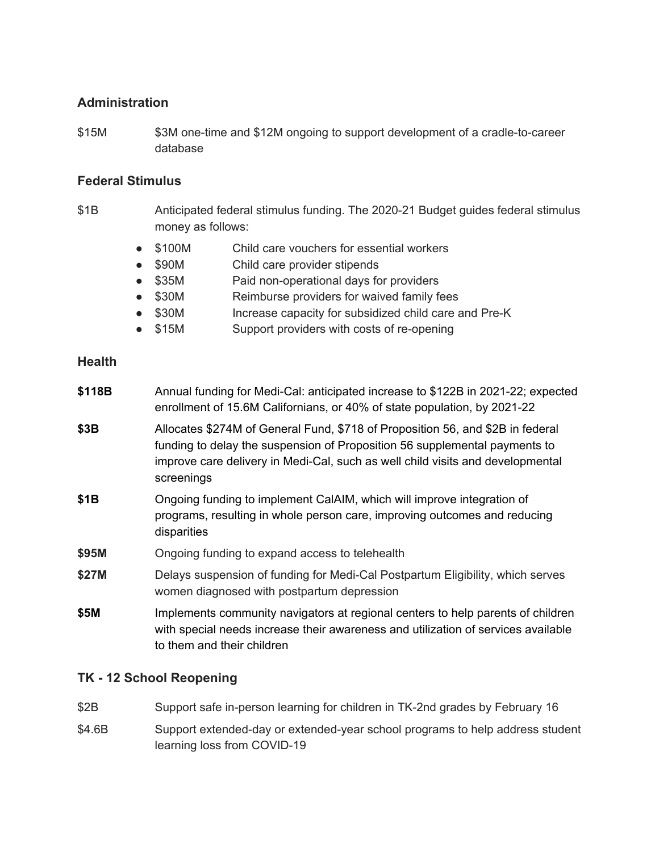#### **Administration**

\$15M \$3M one-time and \$12M ongoing to support development of a cradle-to-career database

#### **Federal Stimulus**

- \$1B Anticipated federal stimulus funding. The 2020-21 Budget guides federal stimulus money as follows:
	- \$100M Child care vouchers for essential workers
	- \$90M Child care provider stipends
	- \$35M Paid non-operational days for providers
	- \$30M Reimburse providers for waived family fees
	- \$30M Increase capacity for subsidized child care and Pre-K
	- \$15M Support providers with costs of re-opening

#### **Health**

- **\$118B** Annual funding for Medi-Cal: anticipated increase to \$122B in 2021-22; expected enrollment of 15.6M Californians, or 40% of state population, by 2021-22
- **\$3B** Allocates \$274M of General Fund, \$718 of Proposition 56, and \$2B in federal funding to delay the suspension of Proposition 56 supplemental payments to improve care delivery in Medi-Cal, such as well child visits and developmental screenings
- **\$1B** Ongoing funding to implement CalAIM, which will improve integration of programs, resulting in whole person care, improving outcomes and reducing disparities
- **\$95M** Ongoing funding to expand access to telehealth
- **\$27M** Delays suspension of funding for Medi-Cal Postpartum Eligibility, which serves women diagnosed with postpartum depression
- **\$5M** Implements community navigators at regional centers to help parents of children with special needs increase their awareness and utilization of services available to them and their children

### **TK - 12 School Reopening**

- \$2B Support safe in-person learning for children in TK-2nd grades by February 16
- \$4.6B Support extended-day or extended-year school programs to help address student learning loss from COVID-19